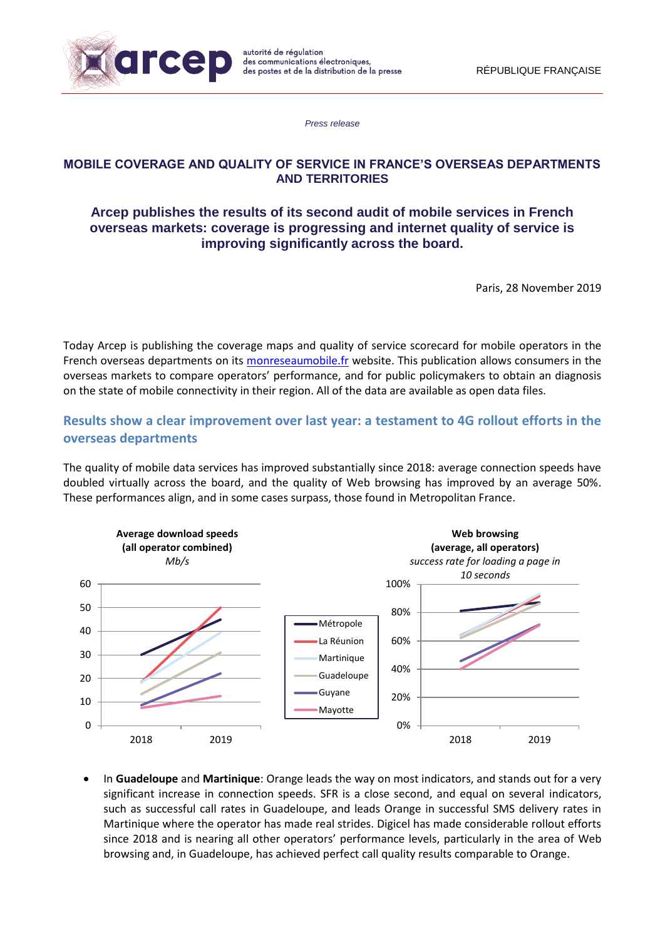

*Press release*

## **MOBILE COVERAGE AND QUALITY OF SERVICE IN FRANCE'S OVERSEAS DEPARTMENTS AND TERRITORIES**

## **Arcep publishes the results of its second audit of mobile services in French overseas markets: coverage is progressing and internet quality of service is improving significantly across the board.**

Paris, 28 November 2019

Today Arcep is publishing the coverage maps and quality of service scorecard for mobile operators in the French overseas departments on its [monreseaumobile.fr](https://www.monreseaumobile.fr/) website. This publication allows consumers in the overseas markets to compare operators' performance, and for public policymakers to obtain an diagnosis on the state of mobile connectivity in their region. All of the data are available as open data files.

# **Results show a clear improvement over last year: a testament to 4G rollout efforts in the overseas departments**

The quality of mobile data services has improved substantially since 2018: average connection speeds have doubled virtually across the board, and the quality of Web browsing has improved by an average 50%. These performances align, and in some cases surpass, those found in Metropolitan France.



 In **Guadeloupe** and **Martinique**: Orange leads the way on most indicators, and stands out for a very significant increase in connection speeds. SFR is a close second, and equal on several indicators, such as successful call rates in Guadeloupe, and leads Orange in successful SMS delivery rates in Martinique where the operator has made real strides. Digicel has made considerable rollout efforts since 2018 and is nearing all other operators' performance levels, particularly in the area of Web browsing and, in Guadeloupe, has achieved perfect call quality results comparable to Orange.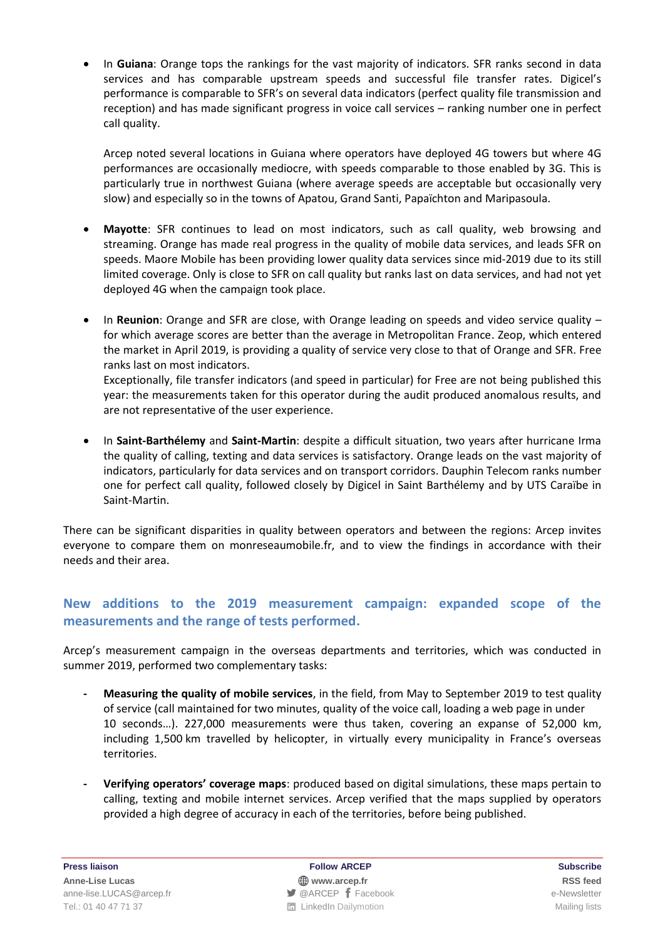In **Guiana**: Orange tops the rankings for the vast majority of indicators. SFR ranks second in data services and has comparable upstream speeds and successful file transfer rates. Digicel's performance is comparable to SFR's on several data indicators (perfect quality file transmission and reception) and has made significant progress in voice call services – ranking number one in perfect call quality.

Arcep noted several locations in Guiana where operators have deployed 4G towers but where 4G performances are occasionally mediocre, with speeds comparable to those enabled by 3G. This is particularly true in northwest Guiana (where average speeds are acceptable but occasionally very slow) and especially so in the towns of Apatou, Grand Santi, Papaïchton and Maripasoula.

- **Mayotte**: SFR continues to lead on most indicators, such as call quality, web browsing and streaming. Orange has made real progress in the quality of mobile data services, and leads SFR on speeds. Maore Mobile has been providing lower quality data services since mid-2019 due to its still limited coverage. Only is close to SFR on call quality but ranks last on data services, and had not yet deployed 4G when the campaign took place.
- In **Reunion**: Orange and SFR are close, with Orange leading on speeds and video service quality for which average scores are better than the average in Metropolitan France. Zeop, which entered the market in April 2019, is providing a quality of service very close to that of Orange and SFR. Free ranks last on most indicators. Exceptionally, file transfer indicators (and speed in particular) for Free are not being published this

year: the measurements taken for this operator during the audit produced anomalous results, and are not representative of the user experience.

 In **Saint-Barthélemy** and **Saint-Martin**: despite a difficult situation, two years after hurricane Irma the quality of calling, texting and data services is satisfactory. Orange leads on the vast majority of indicators, particularly for data services and on transport corridors. Dauphin Telecom ranks number one for perfect call quality, followed closely by Digicel in Saint Barthélemy and by UTS Caraïbe in Saint-Martin.

There can be significant disparities in quality between operators and between the regions: Arcep invites everyone to compare them on monreseaumobile.fr, and to view the findings in accordance with their needs and their area.

# **New additions to the 2019 measurement campaign: expanded scope of the measurements and the range of tests performed.**

Arcep's measurement campaign in the overseas departments and territories, which was conducted in summer 2019, performed two complementary tasks:

- **- Measuring the quality of mobile services**, in the field, from May to September 2019 to test quality of service (call maintained for two minutes, quality of the voice call, loading a web page in under 10 seconds…). 227,000 measurements were thus taken, covering an expanse of 52,000 km, including 1,500 km travelled by helicopter, in virtually every municipality in France's overseas territories.
- **- Verifying operators' coverage maps**: produced based on digital simulations, these maps pertain to calling, texting and mobile internet services. Arcep verified that the maps supplied by operators provided a high degree of accuracy in each of the territories, before being published.

**Press liaison Follow ARCEP Subscribe**

**Anne-Lise Lucas [www.arcep.fr](http://www.arcep.fr/) [RSS](/feed/::www.arcep.fr:?eID=tx_rssforge&feedid=2&h=14df1) feed** [anne-lise.LUCAS@arcep.fr](mailto:anne-lise.LUCAS@arcep.fr) **[@ARCEP](http://www.twitter.com/ARCEP) F** [Facebook](https://www.facebook.com/arcep.fr) e-Newsletter Tel.: 01 40 47 71 37 Mailing lists **Contained Act 20 and Act 20 and Act 20 and Act 20 and Act 20 and Act 20 and Act 20 and Act 20 and Act 20 and Act 20 and Act 20 and Act 20 and Act 20 and Act 20 and Act 20 and Act 20 and**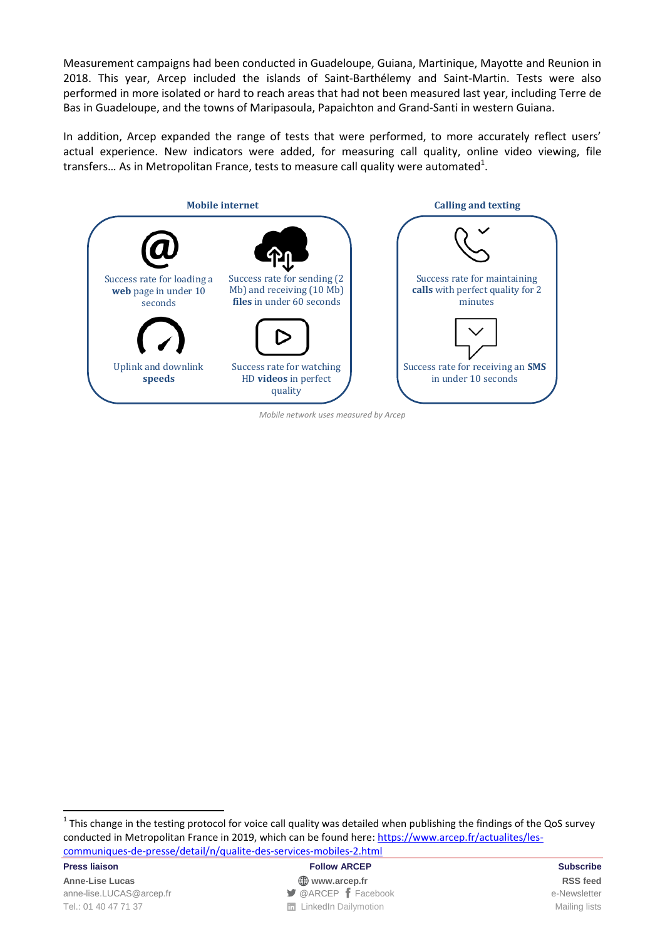Measurement campaigns had been conducted in Guadeloupe, Guiana, Martinique, Mayotte and Reunion in 2018. This year, Arcep included the islands of Saint-Barthélemy and Saint-Martin. Tests were also performed in more isolated or hard to reach areas that had not been measured last year, including Terre de Bas in Guadeloupe, and the towns of Maripasoula, Papaichton and Grand-Santi in western Guiana.

In addition, Arcep expanded the range of tests that were performed, to more accurately reflect users' actual experience. New indicators were added, for measuring call quality, online video viewing, file transfers... As in Metropolitan France, tests to measure call quality were automated<sup>1</sup>.



*Mobile network uses measured by Arcep*

 $1$  This change in the testing protocol for voice call quality was detailed when publishing the findings of the QoS survey conducted in Metropolitan France in 2019, which can be found here: [https://www.arcep.fr/actualites/les](https://www.arcep.fr/actualites/les-communiques-de-presse/detail/n/qualite-des-services-mobiles-2.html)[communiques-de-presse/detail/n/qualite-des-services-mobiles-2.html](https://www.arcep.fr/actualites/les-communiques-de-presse/detail/n/qualite-des-services-mobiles-2.html)

**Anne-Lise Lucas [www.arcep.fr](http://www.arcep.fr/) [RSS](/feed/::www.arcep.fr:?eID=tx_rssforge&feedid=2&h=14df1) feed** [anne-lise.LUCAS@arcep.fr](mailto:anne-lise.LUCAS@arcep.fr) **[@ARCEP](http://www.twitter.com/ARCEP) F** [Facebook](https://www.facebook.com/arcep.fr) e-Newsletter Tel.: 01 40 47 71 37 Mailing lists **Contained Act 20 and Act 20 and Act 20 and Act 20 and Act 20 and Act 20 and Act 20 and Act 20 and Act 20 and Act 20 and Act 20 and Act 20 and Act 20 and Act 20 and Act 20 and Act 20 and** 

 $\overline{a}$ 

**Press liaison Subscribe Follow ARCEP Follow ARCEP Subscribe Subscribe**